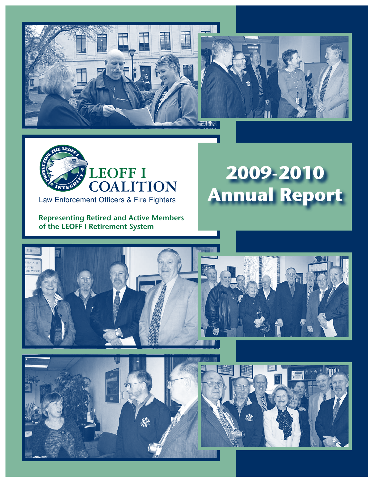





Law Enforcement Officers & Fire Fighters

**Representing Retired and Active Members of the LEOFF I Retirement System**

# **2009-2010 Annual Report**





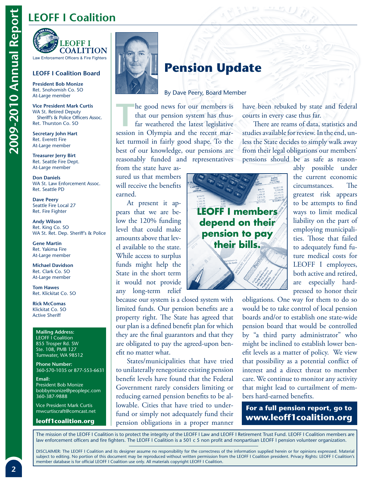## **LEOFF I Coalition**

**LEOFF I COALITION** Law Enforcement Officers & Fire Fighters

## **LEOFF I Coalition Board**

**President Bob Monize** Ret. Snohomish Co. SO At-Large member

**Vice President Mark Curtis** WA St. Retired Deputy Sheriff's & Police Officers Assoc. Ret. Thurston Co. SO

**Secretary John Hart**  Ret. Everett Fire At-Large member

**Treasurer Jerry Birt**  Ret. Seattle Fire Dept. At-Large member

**Don Daniels**  WA St. Law Enforcement Assoc. Ret. Seattle PD

**Dave Peery**  Seattle Fire Local 27 Ret. Fire Fighter

**Andy Wilson**  Ret. King Co. SO WA St. Ret. Dep. Sheriff's & Police

**Gene Martin**  Ret. Yakima Fire At-Large member

**Michael Davidson**  Ret. Clark Co. SO At-Large member

**Tom Hawes**  Ret. Klickitat Co. SO

**Rick McComas**  Klickitat Co. SO Active Sheriff

### **Mailing Address:**

LEOFF I Coalition 855 Trosper Rd. SW Ste. 108, PMB 127 Tumwater, WA 98512

**Phone Number:** 360-570-1035 or 877-553-6631

**Email:**  President Bob Monize bobbymonize@peoplepc.com 360-387-9888

Vice President Mark Curtis mwcurtiscraft@comcast.net

**leoff1coalition.org**



## **Pension Update**

#### By Dave Peery, Board Member

The good news for our members is<br>that our pension system has thus-<br>far weathered the latest legislative<br>session in Olympia and the recent mar that our pension system has thusfar weathered the latest legislative session in Olympia and the recent market turmoil in fairly good shape. To the best of our knowledge, our pensions are reasonably funded and representatives

from the state have assured us that members will receive the benefits earned.

At present it appears that we are below the 120% funding level that could make amounts above that level available to the state. While access to surplus funds might help the State in the short term it would not provide any long-term relief

because our system is a closed system with limited funds. Our pension benefits are a property right. The State has agreed that our plan is a defined benefit plan for which they are the final guarantors and that they are obligated to pay the agreed-upon benefit no matter what.

States/municipalities that have tried to unilaterally renegotiate existing pension benefit levels have found that the Federal Government rarely considers limiting or reducing earned pension benefits to be allowable. Cities that have tried to underfund or simply not adequately fund their pension obligations in a proper manner



have been rebuked by state and federal courts in every case thus far.

There are reams of data, statistics and studies available for review. In the end, unless the State decides to simply walk away from their legal obligations our members' pensions should be as safe as reason-

ably possible under the current economic circumstances. The greatest risk appears to be attempts to find ways to limit medical liability on the part of employing municipalities. Those that failed to adequately fund future medical costs for LEOFF I employees, both active and retired, are especially hardpressed to honor their

obligations. One way for them to do so would be to take control of local pension boards and/or to establish one state-wide pension board that would be controlled by "a third party administrator" who might be inclined to establish lower benefit levels as a matter of policy. We view that possibility as a potential conflict of interest and a direct threat to member care. We continue to monitor any activity that might lead to curtailment of members hard-earned benefits.

## **For a full pension report, go to www.leoff1coalition.org**

The mission of the LEOFF I Coalition is to protect the integrity of the LEOFF I Law and LEOFF I Retirement Trust Fund. LEOFF I Coalition members are law enforcement officers and fire fighters. The LEOFF I Coalition is a 501 c 5 non profit and nonpartisan LEOFF I pension volunteer organization.

DISCLAIMER: The LEOFF I Coalition and its designer assume no responsibility for the correctness of the information supplied herein or for opinions expressed. Material subject to editing. No portion of this document may be reproduced without written permission from the LEOFF I Coalition president. Privacy Rights: LEOFF I Coalition's member database is for official LEOFF I Coalition use only. All materials copyright LEOFF I Coalition.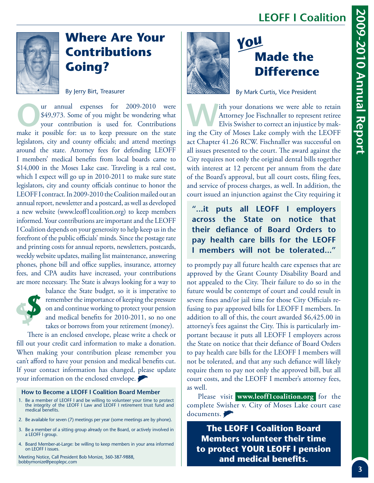# **LEOFF I Coalition**



# **Where Are Your Contributions Going?**

By Jerry Birt, Treasurer

The S49,973. Some of you might be wondering what<br>
your contribution is used for. Contributions<br>
make it possible for us to keep pressure on the state \$49,973. Some of you might be wondering what make it possible for: us to keep pressure on the state legislators, city and county officials; and attend meetings around the state. Attorney fees for defending LEOFF I members' medical benefits from local boards came to \$14,000 in the Moses Lake case. Traveling is a real cost, which I expect will go up in 2010-2011 to make sure state legislators, city and county officials continue to honor the LEOFF I contract. In 2009-2010 the Coalition mailed out an annual report, newsletter and a postcard, as well as developed a new website (www.leoff1coalition.org) to keep members informed. Your contributions are important and the LEOFF I Coalition depends on your generosity to help keep us in the forefront of the public officials' minds. Since the postage rate and printing costs for annual reports, newsletters, postcards, weekly website updates, mailing list maintenance, answering phones, phone bill and office supplies, insurance, attorney fees, and CPA audits have increased, your contributions are more necessary. The State is always looking for a way to



balance the State budget, so it is imperative to remember the importance of keeping the pressure on and continue working to protect your pension and medical benefits for 2010-2011, so no one takes or borrows from your retirement (money).

There is an enclosed envelope, please write a check or fill out your credit card information to make a donation. When making your contribution please remember you can't afford to have your pension and medical benefits cut. If your contact information has changed, please update your information on the enclosed envelope.

## **How to Become a LEOFF I Coalition Board Member**

- 1. Be a member of LEOFF I and be willing to volunteer your time to protect the integrity of the LEOFF I Law and LEOFF I retirement trust fund and medical benefits.
- 2. Be available for seven (7) meetings per year (some meetings are by phone).
- 3. Be a member of a sitting group already on the Board, or actively involved in a LEOFF I group.
- 4. Board Member-at-Large: be willing to keep members in your area informed on LEOFF I issues.

Meeting Notice, Call President Bob Monize, 360-387-9888, bobbymonize@peoplepc.com



# **Made the Difference** *You*

By Mark Curtis, Vice President

Ith your donations we were able to retain<br>Attorney Joe Fischnaller to represent retiree<br>Elvis Swisher to correct an injustice by mak-<br>ing the Gity of Moses Lake comply with the LEOEE Attorney Joe Fischnaller to represent retiree Elvis Swisher to correct an injustice by making the City of Moses Lake comply with the LEOFF act Chapter 41.26 RCW. Fischnaller was successful on all issues presented to the court. The award against the City requires not only the original dental bills together with interest at 12 percent per annum from the date of the Board's approval, but all court costs, filing fees, and service of process charges, as well. In addition, the court issued an injunction against the City requiring it

**"...it puts all LEOFF I employers across the State on notice that their defiance of Board Orders to pay health care bills for the LEOFF I members will not be tolerated..."**

to promptly pay all future health care expenses that are approved by the Grant County Disability Board and not appealed to the City. Their failure to do so in the future would be contempt of court and could result in severe fines and/or jail time for those City Officials refusing to pay approved bills for LEOFF I members. In addition to all of this, the court awarded \$6,425.00 in attorney's fees against the City. This is particularly important because it puts all LEOFF I employers across the State on notice that their defiance of Board Orders to pay health care bills for the LEOFF I members will not be tolerated, and that any such defiance will likely require them to pay not only the approved bill, but all court costs, and the LEOFF I member's attorney fees, as well.

Please visit **www.leoff1coalition.org** for the complete Swisher v. City of Moses Lake court case documents.

**The LEOFF I Coalition Board Members volunteer their time to protect YOUR LEOFF I pension and medical benefits.**